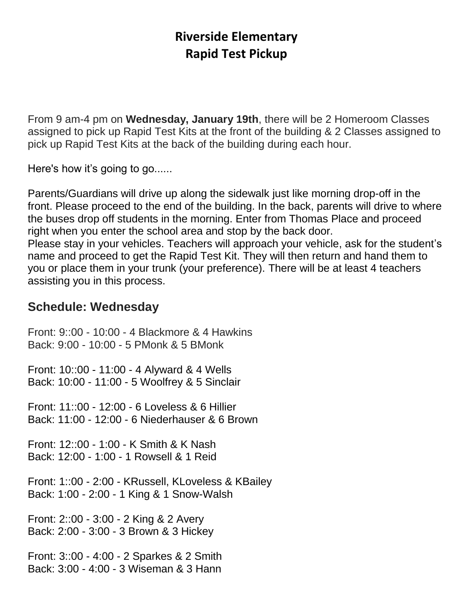## **Riverside Elementary Rapid Test Pickup**

From 9 am-4 pm on **Wednesday, January 19th**, there will be 2 Homeroom Classes assigned to pick up Rapid Test Kits at the front of the building & 2 Classes assigned to pick up Rapid Test Kits at the back of the building during each hour.

Here's how it's going to go......

Parents/Guardians will drive up along the sidewalk just like morning drop-off in the front. Please proceed to the end of the building. In the back, parents will drive to where the buses drop off students in the morning. Enter from Thomas Place and proceed right when you enter the school area and stop by the back door. Please stay in your vehicles. Teachers will approach your vehicle, ask for the student's name and proceed to get the Rapid Test Kit. They will then return and hand them to you or place them in your trunk (your preference). There will be at least 4 teachers assisting you in this process.

## **Schedule: Wednesday**

Front: 9::00 - 10:00 - 4 Blackmore & 4 Hawkins Back: 9:00 - 10:00 - 5 PMonk & 5 BMonk

Front: 10::00 - 11:00 - 4 Alyward & 4 Wells Back: 10:00 - 11:00 - 5 Woolfrey & 5 Sinclair

Front: 11::00 - 12:00 - 6 Loveless & 6 Hillier Back: 11:00 - 12:00 - 6 Niederhauser & 6 Brown

Front: 12::00 - 1:00 - K Smith & K Nash Back: 12:00 - 1:00 - 1 Rowsell & 1 Reid

Front: 1::00 - 2:00 - KRussell, KLoveless & KBailey Back: 1:00 - 2:00 - 1 King & 1 Snow-Walsh

Front: 2::00 - 3:00 - 2 King & 2 Avery Back: 2:00 - 3:00 - 3 Brown & 3 Hickey

Front: 3::00 - 4:00 - 2 Sparkes & 2 Smith Back: 3:00 - 4:00 - 3 Wiseman & 3 Hann